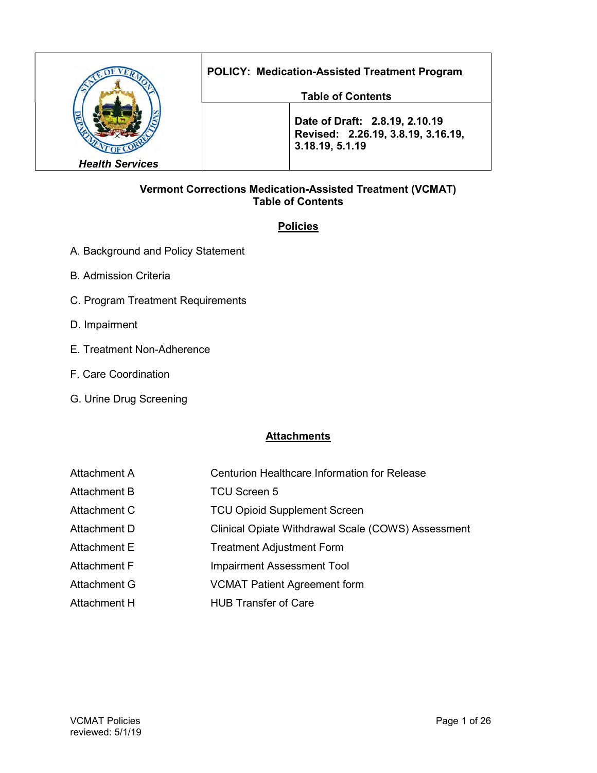|                        | <b>POLICY: Medication-Assisted Treatment Program</b>                                    |
|------------------------|-----------------------------------------------------------------------------------------|
|                        | <b>Table of Contents</b>                                                                |
|                        | Date of Draft: 2.8.19, 2.10.19<br>Revised: 2.26.19, 3.8.19, 3.16.19,<br>3.18.19, 5.1.19 |
| <b>Health Services</b> |                                                                                         |

### Vermont Corrections Medication-Assisted Treatment (VCMAT) Table of Contents

# **Policies**

- A. Background and Policy Statement
- B. Admission Criteria
- C. Program Treatment Requirements
- D. Impairment
- E. Treatment Non-Adherence
- F. Care Coordination
- G. Urine Drug Screening

# **Attachments**

| Attachment A | <b>Centurion Healthcare Information for Release</b> |
|--------------|-----------------------------------------------------|
| Attachment B | TCU Screen 5                                        |
| Attachment C | <b>TCU Opioid Supplement Screen</b>                 |
| Attachment D | Clinical Opiate Withdrawal Scale (COWS) Assessment  |
| Attachment E | <b>Treatment Adjustment Form</b>                    |
| Attachment F | <b>Impairment Assessment Tool</b>                   |
| Attachment G | <b>VCMAT Patient Agreement form</b>                 |
| Attachment H | <b>HUB Transfer of Care</b>                         |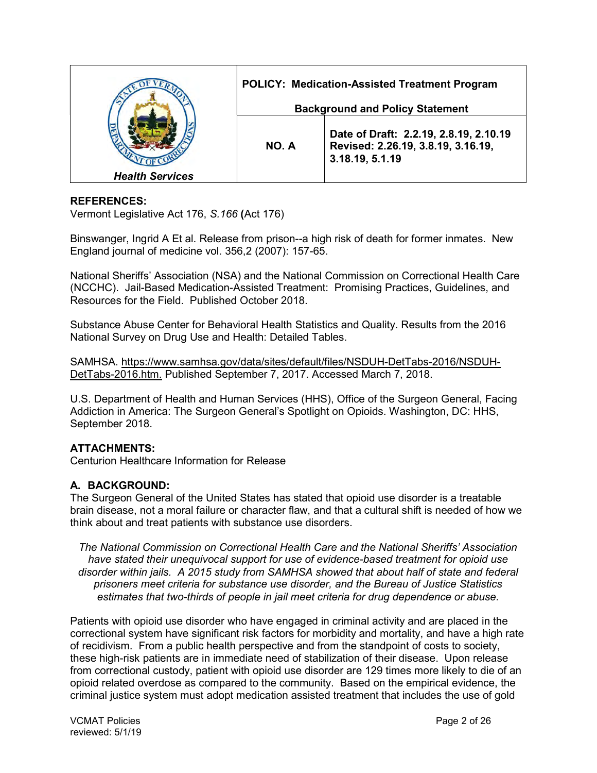|                        | POLICY: Medication-Assisted Treatment Program |                                                                                                 |
|------------------------|-----------------------------------------------|-------------------------------------------------------------------------------------------------|
|                        | <b>Background and Policy Statement</b>        |                                                                                                 |
|                        | NO. A                                         | Date of Draft: 2.2.19, 2.8.19, 2.10.19<br>Revised: 2.26.19, 3.8.19, 3.16.19,<br>3.18.19, 5.1.19 |
| <b>Health Services</b> |                                               |                                                                                                 |

### REFERENCES:

Vermont Legislative Act 176, S.166 (Act 176)

Binswanger, Ingrid A Et al. Release from prison--a high risk of death for former inmates. New England journal of medicine vol. 356,2 (2007): 157-65.

National Sheriffs' Association (NSA) and the National Commission on Correctional Health Care (NCCHC). Jail-Based Medication-Assisted Treatment: Promising Practices, Guidelines, and Resources for the Field. Published October 2018.

Substance Abuse Center for Behavioral Health Statistics and Quality. Results from the 2016 National Survey on Drug Use and Health: Detailed Tables.

SAMHSA. https://www.samhsa.gov/data/sites/default/files/NSDUH-DetTabs-2016/NSDUH-DetTabs-2016.htm. Published September 7, 2017. Accessed March 7, 2018.

U.S. Department of Health and Human Services (HHS), Office of the Surgeon General, Facing Addiction in America: The Surgeon General's Spotlight on Opioids. Washington, DC: HHS, September 2018.

### ATTACHMENTS:

Centurion Healthcare Information for Release

# A. BACKGROUND:

The Surgeon General of the United States has stated that opioid use disorder is a treatable brain disease, not a moral failure or character flaw, and that a cultural shift is needed of how we think about and treat patients with substance use disorders.

The National Commission on Correctional Health Care and the National Sheriffs' Association have stated their unequivocal support for use of evidence-based treatment for opioid use disorder within jails. A 2015 study from SAMHSA showed that about half of state and federal prisoners meet criteria for substance use disorder, and the Bureau of Justice Statistics estimates that two-thirds of people in jail meet criteria for drug dependence or abuse.

Patients with opioid use disorder who have engaged in criminal activity and are placed in the correctional system have significant risk factors for morbidity and mortality, and have a high rate of recidivism. From a public health perspective and from the standpoint of costs to society, these high-risk patients are in immediate need of stabilization of their disease. Upon release from correctional custody, patient with opioid use disorder are 129 times more likely to die of an opioid related overdose as compared to the community. Based on the empirical evidence, the criminal justice system must adopt medication assisted treatment that includes the use of gold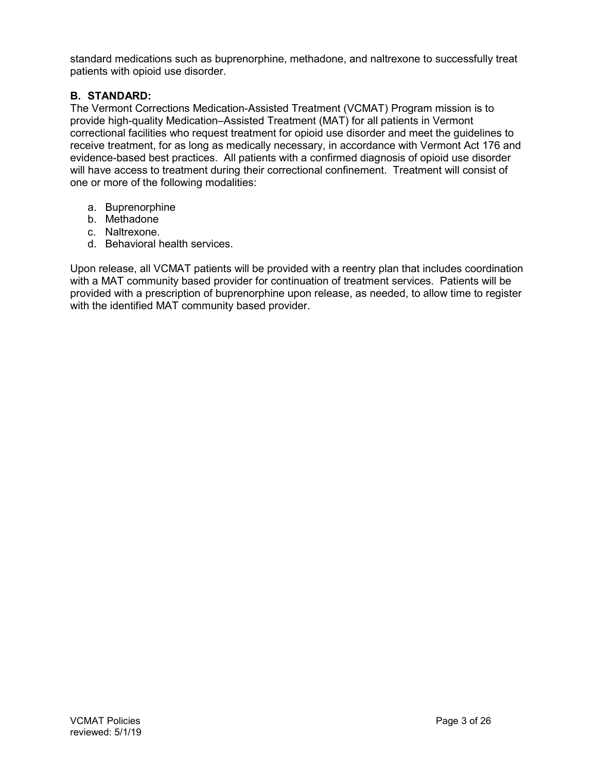standard medications such as buprenorphine, methadone, and naltrexone to successfully treat patients with opioid use disorder.

# B. STANDARD:

The Vermont Corrections Medication-Assisted Treatment (VCMAT) Program mission is to provide high-quality Medication–Assisted Treatment (MAT) for all patients in Vermont correctional facilities who request treatment for opioid use disorder and meet the guidelines to receive treatment, for as long as medically necessary, in accordance with Vermont Act 176 and evidence-based best practices. All patients with a confirmed diagnosis of opioid use disorder will have access to treatment during their correctional confinement. Treatment will consist of one or more of the following modalities:

- a. Buprenorphine
- b. Methadone
- c. Naltrexone.
- d. Behavioral health services.

Upon release, all VCMAT patients will be provided with a reentry plan that includes coordination with a MAT community based provider for continuation of treatment services. Patients will be provided with a prescription of buprenorphine upon release, as needed, to allow time to register with the identified MAT community based provider.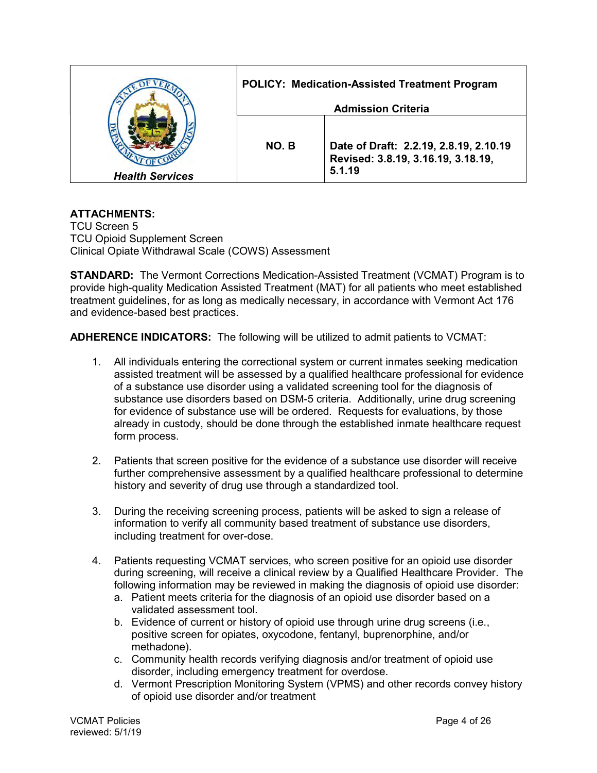|                        | <b>POLICY: Medication-Assisted Treatment Program</b> |                                                                              |  |
|------------------------|------------------------------------------------------|------------------------------------------------------------------------------|--|
|                        | <b>Admission Criteria</b>                            |                                                                              |  |
|                        | NO. B                                                | Date of Draft: 2.2.19, 2.8.19, 2.10.19<br>Revised: 3.8.19, 3.16.19, 3.18.19, |  |
| <b>Health Services</b> |                                                      | 5.1.19                                                                       |  |

TCU Screen 5 TCU Opioid Supplement Screen Clinical Opiate Withdrawal Scale (COWS) Assessment

STANDARD: The Vermont Corrections Medication-Assisted Treatment (VCMAT) Program is to provide high-quality Medication Assisted Treatment (MAT) for all patients who meet established treatment guidelines, for as long as medically necessary, in accordance with Vermont Act 176 and evidence-based best practices.

ADHERENCE INDICATORS: The following will be utilized to admit patients to VCMAT:

- 1. All individuals entering the correctional system or current inmates seeking medication assisted treatment will be assessed by a qualified healthcare professional for evidence of a substance use disorder using a validated screening tool for the diagnosis of substance use disorders based on DSM-5 criteria. Additionally, urine drug screening for evidence of substance use will be ordered. Requests for evaluations, by those already in custody, should be done through the established inmate healthcare request form process.
- 2. Patients that screen positive for the evidence of a substance use disorder will receive further comprehensive assessment by a qualified healthcare professional to determine history and severity of drug use through a standardized tool.
- 3. During the receiving screening process, patients will be asked to sign a release of information to verify all community based treatment of substance use disorders, including treatment for over-dose.
- 4. Patients requesting VCMAT services, who screen positive for an opioid use disorder during screening, will receive a clinical review by a Qualified Healthcare Provider. The following information may be reviewed in making the diagnosis of opioid use disorder:
	- a. Patient meets criteria for the diagnosis of an opioid use disorder based on a validated assessment tool.
	- b. Evidence of current or history of opioid use through urine drug screens (i.e., positive screen for opiates, oxycodone, fentanyl, buprenorphine, and/or methadone).
	- c. Community health records verifying diagnosis and/or treatment of opioid use disorder, including emergency treatment for overdose.
	- d. Vermont Prescription Monitoring System (VPMS) and other records convey history of opioid use disorder and/or treatment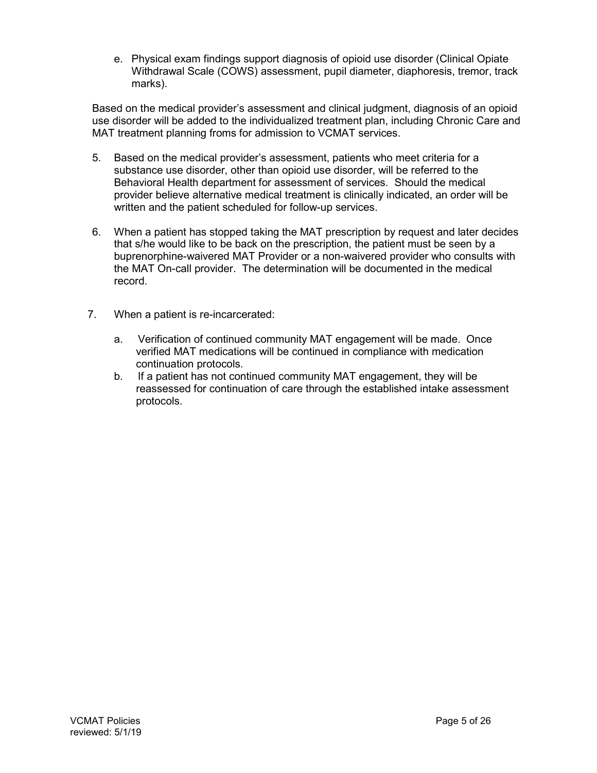e. Physical exam findings support diagnosis of opioid use disorder (Clinical Opiate Withdrawal Scale (COWS) assessment, pupil diameter, diaphoresis, tremor, track marks).

Based on the medical provider's assessment and clinical judgment, diagnosis of an opioid use disorder will be added to the individualized treatment plan, including Chronic Care and MAT treatment planning froms for admission to VCMAT services.

- 5. Based on the medical provider's assessment, patients who meet criteria for a substance use disorder, other than opioid use disorder, will be referred to the Behavioral Health department for assessment of services. Should the medical provider believe alternative medical treatment is clinically indicated, an order will be written and the patient scheduled for follow-up services.
- 6. When a patient has stopped taking the MAT prescription by request and later decides that s/he would like to be back on the prescription, the patient must be seen by a buprenorphine-waivered MAT Provider or a non-waivered provider who consults with the MAT On-call provider. The determination will be documented in the medical record.
- 7. When a patient is re-incarcerated:
	- a. Verification of continued community MAT engagement will be made. Once verified MAT medications will be continued in compliance with medication continuation protocols.
	- b. If a patient has not continued community MAT engagement, they will be reassessed for continuation of care through the established intake assessment protocols.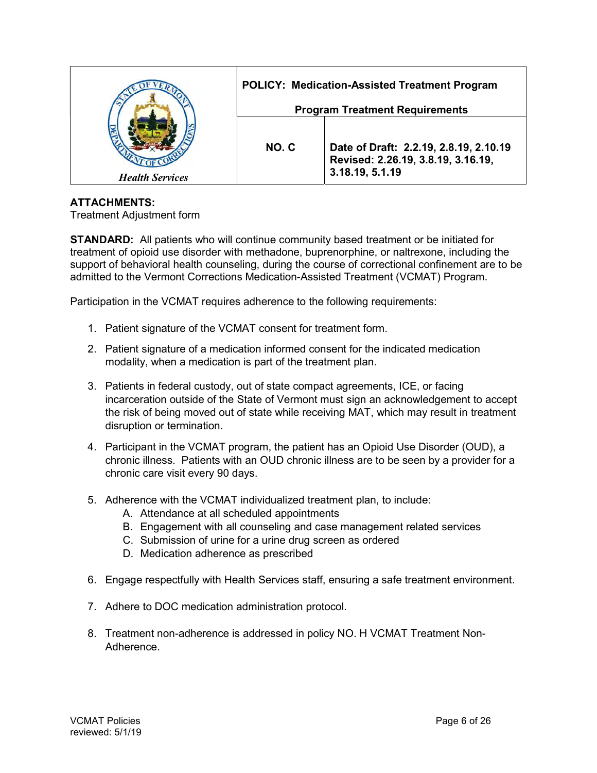|                        | <b>POLICY: Medication-Assisted Treatment Program</b> |                                                                              |
|------------------------|------------------------------------------------------|------------------------------------------------------------------------------|
|                        | <b>Program Treatment Requirements</b>                |                                                                              |
|                        |                                                      |                                                                              |
|                        | NO.C                                                 | Date of Draft: 2.2.19, 2.8.19, 2.10.19<br>Revised: 2.26.19, 3.8.19, 3.16.19, |
| <b>Health Services</b> |                                                      | 3.18.19, 5.1.19                                                              |

Treatment Adjustment form

**STANDARD:** All patients who will continue community based treatment or be initiated for treatment of opioid use disorder with methadone, buprenorphine, or naltrexone, including the support of behavioral health counseling, during the course of correctional confinement are to be admitted to the Vermont Corrections Medication-Assisted Treatment (VCMAT) Program.

Participation in the VCMAT requires adherence to the following requirements:

- 1. Patient signature of the VCMAT consent for treatment form.
- 2. Patient signature of a medication informed consent for the indicated medication modality, when a medication is part of the treatment plan.
- 3. Patients in federal custody, out of state compact agreements, ICE, or facing incarceration outside of the State of Vermont must sign an acknowledgement to accept the risk of being moved out of state while receiving MAT, which may result in treatment disruption or termination.
- 4. Participant in the VCMAT program, the patient has an Opioid Use Disorder (OUD), a chronic illness. Patients with an OUD chronic illness are to be seen by a provider for a chronic care visit every 90 days.
- 5. Adherence with the VCMAT individualized treatment plan, to include:
	- A. Attendance at all scheduled appointments
	- B. Engagement with all counseling and case management related services
	- C. Submission of urine for a urine drug screen as ordered
	- D. Medication adherence as prescribed
- 6. Engage respectfully with Health Services staff, ensuring a safe treatment environment.
- 7. Adhere to DOC medication administration protocol.
- 8. Treatment non-adherence is addressed in policy NO. H VCMAT Treatment Non-Adherence.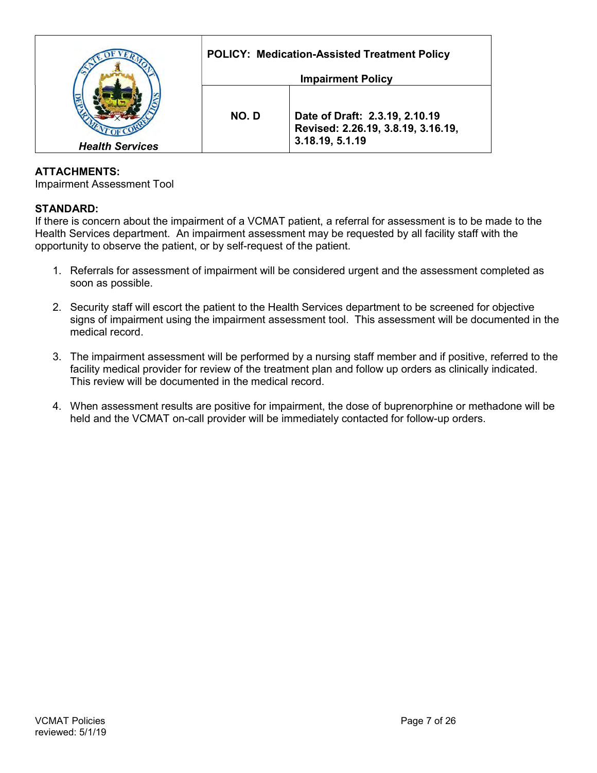|                        | <b>POLICY: Medication-Assisted Treatment Policy</b> |                                                                                         |  |
|------------------------|-----------------------------------------------------|-----------------------------------------------------------------------------------------|--|
|                        | <b>Impairment Policy</b>                            |                                                                                         |  |
| <b>Health Services</b> | NO.D                                                | Date of Draft: 2.3.19, 2.10.19<br>Revised: 2.26.19, 3.8.19, 3.16.19,<br>3.18.19, 5.1.19 |  |

Impairment Assessment Tool

### STANDARD:

If there is concern about the impairment of a VCMAT patient, a referral for assessment is to be made to the Health Services department. An impairment assessment may be requested by all facility staff with the opportunity to observe the patient, or by self-request of the patient.

- 1. Referrals for assessment of impairment will be considered urgent and the assessment completed as soon as possible.
- 2. Security staff will escort the patient to the Health Services department to be screened for objective signs of impairment using the impairment assessment tool. This assessment will be documented in the medical record.
- 3. The impairment assessment will be performed by a nursing staff member and if positive, referred to the facility medical provider for review of the treatment plan and follow up orders as clinically indicated. This review will be documented in the medical record.
- 4. When assessment results are positive for impairment, the dose of buprenorphine or methadone will be held and the VCMAT on-call provider will be immediately contacted for follow-up orders.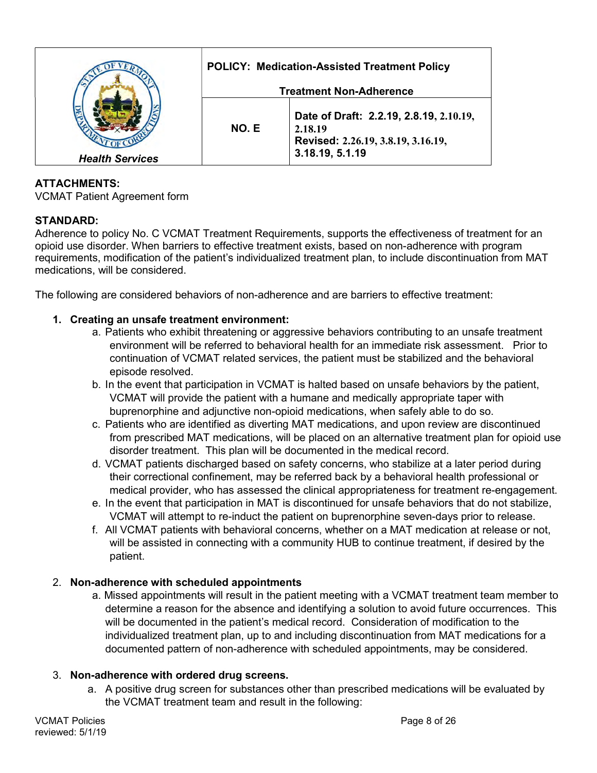|                        |                                | <b>POLICY: Medication-Assisted Treatment Policy</b>                                                         |
|------------------------|--------------------------------|-------------------------------------------------------------------------------------------------------------|
|                        | <b>Treatment Non-Adherence</b> |                                                                                                             |
| <b>Health Services</b> | NO. E                          | Date of Draft: 2.2.19, 2.8.19, 2.10.19,<br>2.18.19<br>Revised: 2.26.19, 3.8.19, 3.16.19,<br>3.18.19, 5.1.19 |

VCMAT Patient Agreement form

# STANDARD:

Adherence to policy No. C VCMAT Treatment Requirements, supports the effectiveness of treatment for an opioid use disorder. When barriers to effective treatment exists, based on non-adherence with program requirements, modification of the patient's individualized treatment plan, to include discontinuation from MAT medications, will be considered.

The following are considered behaviors of non-adherence and are barriers to effective treatment:

### 1. Creating an unsafe treatment environment:

- a. Patients who exhibit threatening or aggressive behaviors contributing to an unsafe treatment environment will be referred to behavioral health for an immediate risk assessment. Prior to continuation of VCMAT related services, the patient must be stabilized and the behavioral episode resolved.
- b. In the event that participation in VCMAT is halted based on unsafe behaviors by the patient, VCMAT will provide the patient with a humane and medically appropriate taper with buprenorphine and adjunctive non-opioid medications, when safely able to do so.
- c. Patients who are identified as diverting MAT medications, and upon review are discontinued from prescribed MAT medications, will be placed on an alternative treatment plan for opioid use disorder treatment. This plan will be documented in the medical record.
- d. VCMAT patients discharged based on safety concerns, who stabilize at a later period during their correctional confinement, may be referred back by a behavioral health professional or medical provider, who has assessed the clinical appropriateness for treatment re-engagement.
- e. In the event that participation in MAT is discontinued for unsafe behaviors that do not stabilize, VCMAT will attempt to re-induct the patient on buprenorphine seven-days prior to release.
- f. All VCMAT patients with behavioral concerns, whether on a MAT medication at release or not, will be assisted in connecting with a community HUB to continue treatment, if desired by the patient.

### 2. Non-adherence with scheduled appointments

a. Missed appointments will result in the patient meeting with a VCMAT treatment team member to determine a reason for the absence and identifying a solution to avoid future occurrences. This will be documented in the patient's medical record. Consideration of modification to the individualized treatment plan, up to and including discontinuation from MAT medications for a documented pattern of non-adherence with scheduled appointments, may be considered.

### 3. Non-adherence with ordered drug screens.

a. A positive drug screen for substances other than prescribed medications will be evaluated by the VCMAT treatment team and result in the following: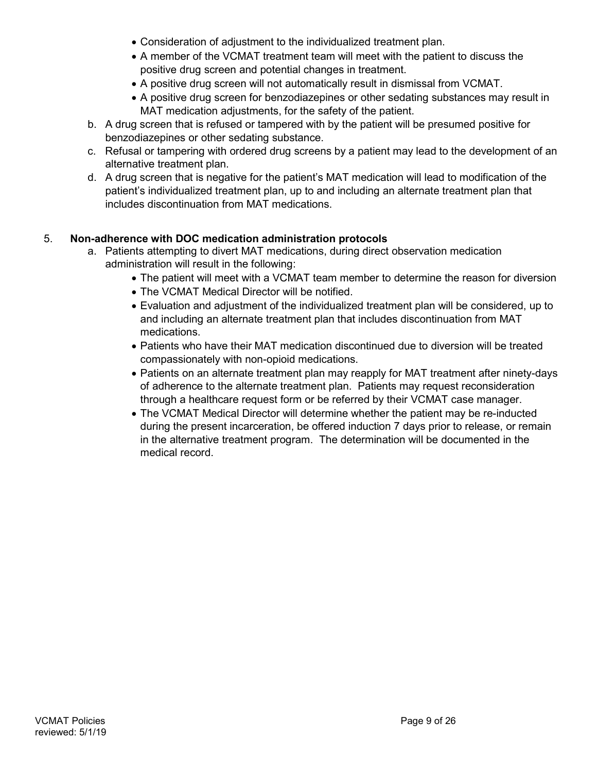- Consideration of adjustment to the individualized treatment plan.
- A member of the VCMAT treatment team will meet with the patient to discuss the positive drug screen and potential changes in treatment.
- A positive drug screen will not automatically result in dismissal from VCMAT.
- A positive drug screen for benzodiazepines or other sedating substances may result in MAT medication adjustments, for the safety of the patient.
- b. A drug screen that is refused or tampered with by the patient will be presumed positive for benzodiazepines or other sedating substance.
- c. Refusal or tampering with ordered drug screens by a patient may lead to the development of an alternative treatment plan.
- d. A drug screen that is negative for the patient's MAT medication will lead to modification of the patient's individualized treatment plan, up to and including an alternate treatment plan that includes discontinuation from MAT medications.

# 5. Non-adherence with DOC medication administration protocols

- a. Patients attempting to divert MAT medications, during direct observation medication administration will result in the following:
	- The patient will meet with a VCMAT team member to determine the reason for diversion
	- The VCMAT Medical Director will be notified.
	- Evaluation and adjustment of the individualized treatment plan will be considered, up to and including an alternate treatment plan that includes discontinuation from MAT medications.
	- Patients who have their MAT medication discontinued due to diversion will be treated compassionately with non-opioid medications.
	- Patients on an alternate treatment plan may reapply for MAT treatment after ninety-days of adherence to the alternate treatment plan. Patients may request reconsideration through a healthcare request form or be referred by their VCMAT case manager.
	- The VCMAT Medical Director will determine whether the patient may be re-inducted during the present incarceration, be offered induction 7 days prior to release, or remain in the alternative treatment program. The determination will be documented in the medical record.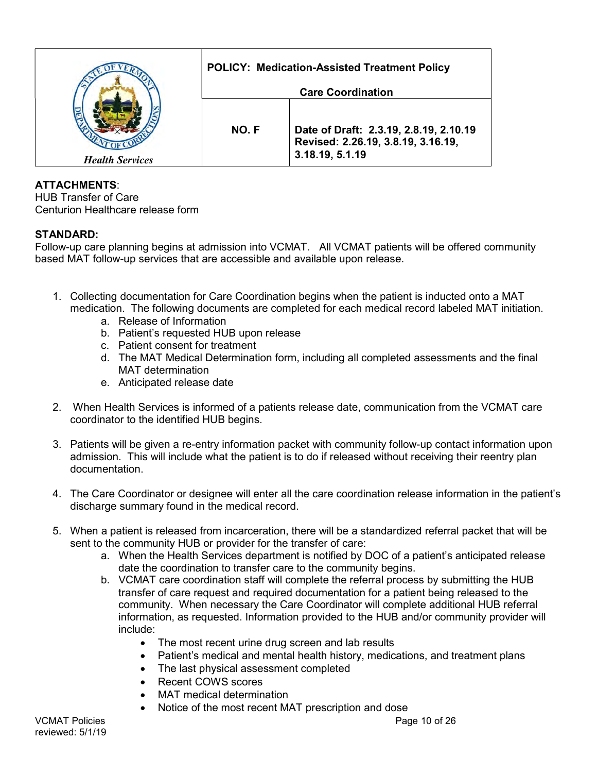|                        |                          | <b>POLICY: Medication-Assisted Treatment Policy</b>                                             |
|------------------------|--------------------------|-------------------------------------------------------------------------------------------------|
|                        | <b>Care Coordination</b> |                                                                                                 |
| <b>Health Services</b> | NO.F                     | Date of Draft: 2.3.19, 2.8.19, 2.10.19<br>Revised: 2.26.19, 3.8.19, 3.16.19,<br>3.18.19, 5.1.19 |

HUB Transfer of Care Centurion Healthcare release form

# STANDARD:

Follow-up care planning begins at admission into VCMAT. All VCMAT patients will be offered community based MAT follow-up services that are accessible and available upon release.

- 1. Collecting documentation for Care Coordination begins when the patient is inducted onto a MAT medication. The following documents are completed for each medical record labeled MAT initiation.
	- a. Release of Information
	- b. Patient's requested HUB upon release
	- c. Patient consent for treatment
	- d. The MAT Medical Determination form, including all completed assessments and the final MAT determination
	- e. Anticipated release date
- 2. When Health Services is informed of a patients release date, communication from the VCMAT care coordinator to the identified HUB begins.
- 3. Patients will be given a re-entry information packet with community follow-up contact information upon admission. This will include what the patient is to do if released without receiving their reentry plan documentation.
- 4. The Care Coordinator or designee will enter all the care coordination release information in the patient's discharge summary found in the medical record.
- 5. When a patient is released from incarceration, there will be a standardized referral packet that will be sent to the community HUB or provider for the transfer of care:
	- a. When the Health Services department is notified by DOC of a patient's anticipated release date the coordination to transfer care to the community begins.
	- b. VCMAT care coordination staff will complete the referral process by submitting the HUB transfer of care request and required documentation for a patient being released to the community. When necessary the Care Coordinator will complete additional HUB referral information, as requested. Information provided to the HUB and/or community provider will include:
		- The most recent urine drug screen and lab results
		- Patient's medical and mental health history, medications, and treatment plans
		- The last physical assessment completed
		- Recent COWS scores
		- MAT medical determination
		- Notice of the most recent MAT prescription and dose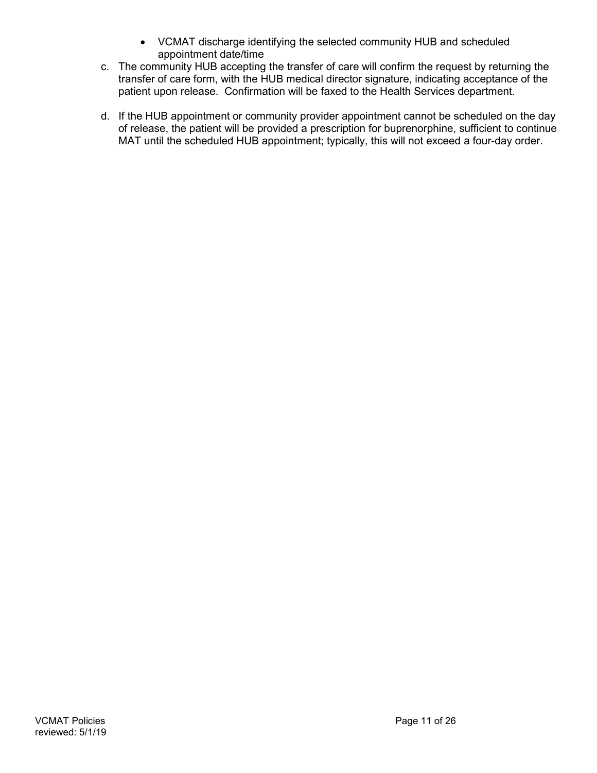- VCMAT discharge identifying the selected community HUB and scheduled appointment date/time
- c. The community HUB accepting the transfer of care will confirm the request by returning the transfer of care form, with the HUB medical director signature, indicating acceptance of the patient upon release. Confirmation will be faxed to the Health Services department.
- d. If the HUB appointment or community provider appointment cannot be scheduled on the day of release, the patient will be provided a prescription for buprenorphine, sufficient to continue MAT until the scheduled HUB appointment; typically, this will not exceed a four-day order.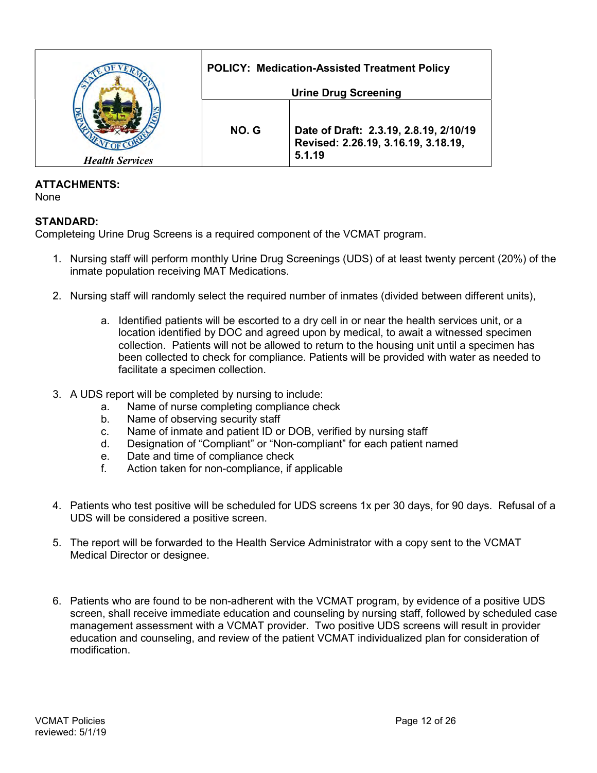|                        |                             | <b>POLICY: Medication-Assisted Treatment Policy</b>                                     |  |
|------------------------|-----------------------------|-----------------------------------------------------------------------------------------|--|
|                        | <b>Urine Drug Screening</b> |                                                                                         |  |
| <b>Health Services</b> | NO.G                        | Date of Draft: 2.3.19, 2.8.19, 2/10/19<br>Revised: 2.26.19, 3.16.19, 3.18.19,<br>5.1.19 |  |

None

# STANDARD:

Completeing Urine Drug Screens is a required component of the VCMAT program.

- 1. Nursing staff will perform monthly Urine Drug Screenings (UDS) of at least twenty percent (20%) of the inmate population receiving MAT Medications.
- 2. Nursing staff will randomly select the required number of inmates (divided between different units),
	- a. Identified patients will be escorted to a dry cell in or near the health services unit, or a location identified by DOC and agreed upon by medical, to await a witnessed specimen collection. Patients will not be allowed to return to the housing unit until a specimen has been collected to check for compliance. Patients will be provided with water as needed to facilitate a specimen collection.
- 3. A UDS report will be completed by nursing to include:
	- a. Name of nurse completing compliance check
	- b. Name of observing security staff
	- c. Name of inmate and patient ID or DOB, verified by nursing staff
	- d. Designation of "Compliant" or "Non-compliant" for each patient named
	- e. Date and time of compliance check
	- f. Action taken for non-compliance, if applicable
- 4. Patients who test positive will be scheduled for UDS screens 1x per 30 days, for 90 days. Refusal of a UDS will be considered a positive screen.
- 5. The report will be forwarded to the Health Service Administrator with a copy sent to the VCMAT Medical Director or designee.
- 6. Patients who are found to be non-adherent with the VCMAT program, by evidence of a positive UDS screen, shall receive immediate education and counseling by nursing staff, followed by scheduled case management assessment with a VCMAT provider. Two positive UDS screens will result in provider education and counseling, and review of the patient VCMAT individualized plan for consideration of modification.